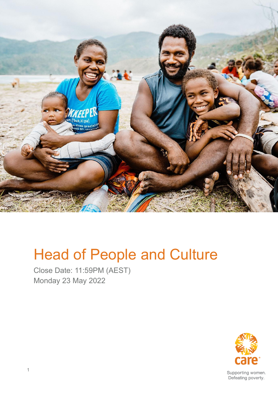

# Head of People and Culture

Close Date: 11:59PM (AEST) Monday 23 May 2022



Supporting women. Defeating poverty.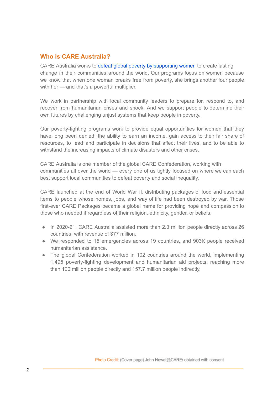#### **Who is CARE Australia?**

CARE Australia works to defeat global poverty by [supporting](https://www.youtube.com/watch?v=CMs79sOO9Hs) women to create lasting change in their communities around the world. Our programs focus on women because we know that when one woman breaks free from poverty, she brings another four people with her — and that's a powerful multiplier.

We work in partnership with local community leaders to prepare for, respond to, and recover from humanitarian crises and shock. And we support people to determine their own futures by challenging unjust systems that keep people in poverty.

Our poverty-fighting programs work to provide equal opportunities for women that they have long been denied: the ability to earn an income, gain access to their fair share of resources, to lead and participate in decisions that affect their lives, and to be able to withstand the increasing impacts of climate disasters and other crises.

CARE Australia is one member of the global CARE Confederation, working with communities all over the world — every one of us tightly focused on where we can each best support local communities to defeat poverty and social inequality.

CARE launched at the end of World War II, distributing packages of food and essential items to people whose homes, jobs, and way of life had been destroyed by war. Those first-ever CARE Packages became a global name for providing hope and compassion to those who needed it regardless of their religion, ethnicity, gender, or beliefs.

- In 2020-21, CARE Australia assisted more than 2.3 million people directly across 26 countries, with revenue of \$77 million.
- We responded to 15 emergencies across 19 countries, and 903K people received humanitarian assistance.
- The global Confederation worked in 102 countries around the world, implementing 1,495 poverty-fighting development and humanitarian aid projects, reaching more than 100 million people directly and 157.7 million people indirectly.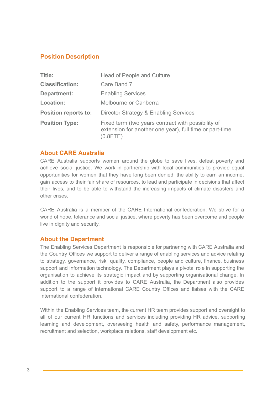#### **Position Description**

| Title:                      | <b>Head of People and Culture</b>                                                                                            |
|-----------------------------|------------------------------------------------------------------------------------------------------------------------------|
| <b>Classification:</b>      | Care Band 7                                                                                                                  |
| <b>Department:</b>          | <b>Enabling Services</b>                                                                                                     |
| Location:                   | Melbourne or Canberra                                                                                                        |
| <b>Position reports to:</b> | Director Strategy & Enabling Services                                                                                        |
| <b>Position Type:</b>       | Fixed term (two years contract with possibility of<br>extension for another one year), full time or part-time<br>$(0.8$ FTE) |

#### **About CARE Australia**

CARE Australia supports women around the globe to save lives, defeat poverty and achieve social justice. We work in partnership with local communities to provide equal opportunities for women that they have long been denied: the ability to earn an income, gain access to their fair share of resources, to lead and participate in decisions that affect their lives, and to be able to withstand the increasing impacts of climate disasters and other crises.

CARE Australia is a member of the CARE International confederation. We strive for a world of hope, tolerance and social justice, where poverty has been overcome and people live in dignity and security.

#### **About the Department**

The Enabling Services Department is responsible for partnering with CARE Australia and the Country Offices we support to deliver a range of enabling services and advice relating to strategy, governance, risk, quality, compliance, people and culture, finance, business support and information technology. The Department plays a pivotal role in supporting the organisation to achieve its strategic impact and by supporting organisational change. In addition to the support it provides to CARE Australia, the Department also provides support to a range of international CARE Country Offices and liaises with the CARE International confederation.

Within the Enabling Services team, the current HR team provides support and oversight to all of our current HR functions and services including providing HR advice, supporting learning and development, overseeing health and safety, performance management, recruitment and selection, workplace relations, staff development etc.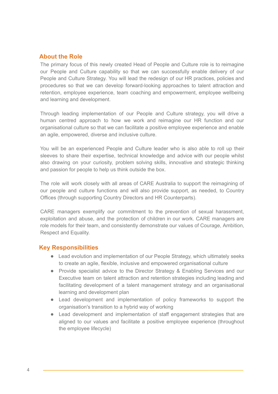#### **About the Role**

The primary focus of this newly created Head of People and Culture role is to reimagine our People and Culture capability so that we can successfully enable delivery of our People and Culture Strategy. You will lead the redesign of our HR practices, policies and procedures so that we can develop forward-looking approaches to talent attraction and retention, employee experience, team coaching and empowerment, employee wellbeing and learning and development.

Through leading implementation of our People and Culture strategy, you will drive a human centred approach to how we work and reimagine our HR function and our organisational culture so that we can facilitate a positive employee experience and enable an agile, empowered, diverse and inclusive culture.

You will be an experienced People and Culture leader who is also able to roll up their sleeves to share their expertise, technical knowledge and advice with our people whilst also drawing on your curiosity, problem solving skills, innovative and strategic thinking and passion for people to help us think outside the box.

The role will work closely with all areas of CARE Australia to support the reimagining of our people and culture functions and will also provide support, as needed, to Country Offices (through supporting Country Directors and HR Counterparts).

CARE managers exemplify our commitment to the prevention of sexual harassment, exploitation and abuse, and the protection of children in our work. CARE managers are role models for their team, and consistently demonstrate our values of Courage, Ambition, Respect and Equality.

#### **Key Responsibilities**

- Lead evolution and implementation of our People Strategy, which ultimately seeks to create an agile, flexible, inclusive and empowered organisational culture
- Provide specialist advice to the Director Strategy & Enabling Services and our Executive team on talent attraction and retention strategies including leading and facilitating development of a talent management strategy and an organisational learning and development plan
- Lead development and implementation of policy frameworks to support the organisation's transition to a hybrid way of working
- Lead development and implementation of staff engagement strategies that are aligned to our values and facilitate a positive employee experience (throughout the employee lifecycle)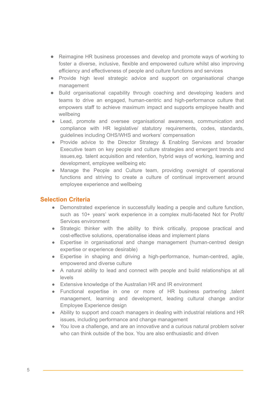- Reimagine HR business processes and develop and promote ways of working to foster a diverse, inclusive, flexible and empowered culture whilst also improving efficiency and effectiveness of people and culture functions and services
- Provide high level strategic advice and support on organisational change management
- Build organisational capability through coaching and developing leaders and teams to drive an engaged, human-centric and high-performance culture that empowers staff to achieve maximum impact and supports employee health and wellbeing
- Lead, promote and oversee organisational awareness, communication and compliance with HR legislative/ statutory requirements, codes, standards, guidelines including OHS/WHS and workers' compensation
- Provide advice to the Director Strategy & Enabling Services and broader Executive team on key people and culture strategies and emergent trends and issues,eg. talent acquisition and retention, hybrid ways of working, learning and development, employee wellbeing etc
- Manage the People and Culture team, providing oversight of operational functions and striving to create a culture of continual improvement around employee experience and wellbeing

#### **Selection Criteria**

- Demonstrated experience in successfully leading a people and culture function, such as 10+ years' work experience in a complex multi-faceted Not for Profit/ Services environment
- Strategic thinker with the ability to think critically, propose practical and cost-effective solutions, operationalise ideas and implement plans
- Expertise in organisational and change management (human-centred design expertise or experience desirable)
- Expertise in shaping and driving a high-performance, human-centred, agile, empowered and diverse culture
- A natural ability to lead and connect with people and build relationships at all levels
- Extensive knowledge of the Australian HR and IR environment
- Functional expertise in one or more of HR business partnering talent management, learning and development, leading cultural change and/or Employee Experience design
- Ability to support and coach managers in dealing with industrial relations and HR issues, including performance and change management
- You love a challenge, and are an innovative and a curious natural problem solver who can think outside of the box. You are also enthusiastic and driven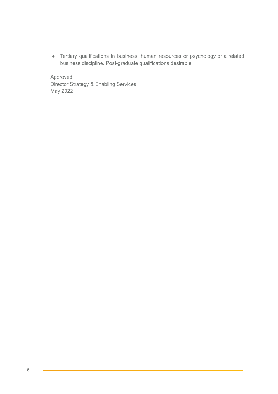● Tertiary qualifications in business, human resources or psychology or a related business discipline. Post-graduate qualifications desirable

Approved Director Strategy & Enabling Services May 2022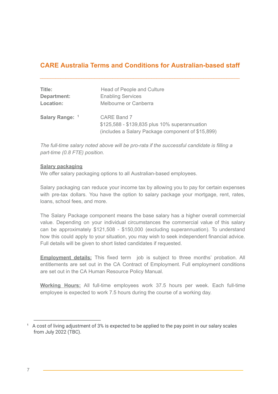## **CARE Australia Terms and Conditions for Australian-based staff**

| Title:          | Head of People and Culture                                                                                               |
|-----------------|--------------------------------------------------------------------------------------------------------------------------|
| Department:     | <b>Enabling Services</b>                                                                                                 |
| Location:       | Melbourne or Canberra                                                                                                    |
| Salary Range: 1 | <b>CARE Band 7</b><br>\$125,588 - \$139,835 plus 10% superannuation<br>(includes a Salary Package component of \$15,899) |

*The full-time salary noted above will be pro-rata if the successful candidate is filling a part-time (0.8 FTE) position.*

#### **Salary packaging**

We offer salary packaging options to all Australian-based employees.

Salary packaging can reduce your income tax by allowing you to pay for certain expenses with pre-tax dollars. You have the option to salary package your mortgage, rent, rates, loans, school fees, and more.

The Salary Package component means the base salary has a higher overall commercial value. Depending on your individual circumstances the commercial value of this salary can be approximately \$121,508 - \$150,000 (excluding superannuation). To understand how this could apply to your situation, you may wish to seek independent financial advice. Full details will be given to short listed candidates if requested.

**Employment details:** This fixed term job is subject to three months' probation. All entitlements are set out in the CA Contract of Employment. Full employment conditions are set out in the CA Human Resource Policy Manual.

**Working Hours:** All full-time employees work 37.5 hours per week. Each full-time employee is expected to work 7.5 hours during the course of a working day.

<sup>&</sup>lt;sup>1</sup> A cost of living adjustment of 3% is expected to be applied to the pay point in our salary scales from July 2022 (TBC).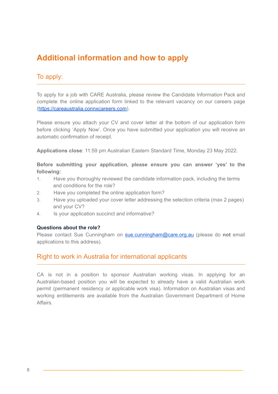# **Additional information and how to apply**

## To apply:

To apply for a job with CARE Australia, please review the Candidate Information Pack and complete the online application form linked to the relevant vacancy on our careers page [\(https://careaustralia.connxcareers.com](https://careaustralia.connxcareers.com/)).

Please ensure you attach your CV and cover letter at the bottom of our application form before clicking 'Apply Now'. Once you have submitted your application you will receive an automatic confirmation of receipt.

**Applications close**: 11:59 pm Australian Eastern Standard Time, Monday 23 May 2022.

**Before submitting your application, please ensure you can answer 'yes' to the following:**

- 1. Have you thoroughly reviewed the candidate information pack, including the terms and conditions for the role?
- 2. Have you completed the online application form?
- 3. Have you uploaded your cover letter addressing the selection criteria (max 2 pages) and your CV?
- 4. Is your application succinct and informative?

#### **Questions about the role?**

Please contact Sue Cunningham on [sue.cunningham@care.org.au](mailto:sue.cunningham@care.org.au) (please do **not** email applications to this address).

#### Right to work in Australia for international applicants

CA is not in a position to sponsor Australian working visas. In applying for an Australian-based position you will be expected to already have a valid Australian work permit (permanent residency or applicable work visa). Information on Australian visas and working entitlements are available from the Australian Government Department of Home Affairs.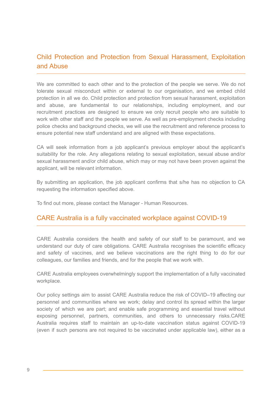## Child Protection and Protection from Sexual Harassment, Exploitation and Abuse

We are committed to each other and to the protection of the people we serve. We do not tolerate sexual misconduct within or external to our organisation, and we embed child protection in all we do. Child protection and protection from sexual harassment, exploitation and abuse, are fundamental to our relationships, including employment, and our recruitment practices are designed to ensure we only recruit people who are suitable to work with other staff and the people we serve. As well as pre-employment checks including police checks and background checks, we will use the recruitment and reference process to ensure potential new staff understand and are aligned with these expectations.

CA will seek information from a job applicant's previous employer about the applicant's suitability for the role. Any allegations relating to sexual exploitation, sexual abuse and/or sexual harassment and/or child abuse, which may or may not have been proven against the applicant, will be relevant information.

By submitting an application, the job applicant confirms that s/he has no objection to CA requesting the information specified above.

To find out more, please contact the Manager - Human Resources.

#### CARE Australia is a fully vaccinated workplace against COVID-19

CARE Australia considers the health and safety of our staff to be paramount, and we understand our duty of care obligations. CARE Australia recognises the scientific efficacy and safety of vaccines, and we believe vaccinations are the right thing to do for our colleagues, our families and friends, and for the people that we work with.

CARE Australia employees overwhelmingly support the implementation of a fully vaccinated workplace.

Our policy settings aim to assist CARE Australia reduce the risk of COVID–19 affecting our personnel and communities where we work; delay and control its spread within the larger society of which we are part; and enable safe programming and essential travel without exposing personnel, partners, communities, and others to unnecessary risks.CARE Australia requires staff to maintain an up-to-date vaccination status against COVID-19 (even if such persons are not required to be vaccinated under applicable law), either as a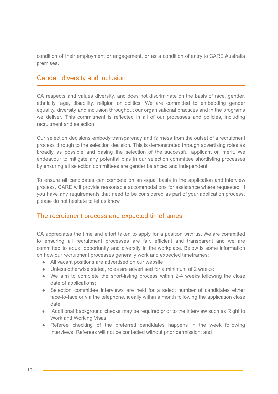condition of their employment or engagement, or as a condition of entry to CARE Australia premises.

#### Gender, diversity and inclusion

CA respects and values diversity, and does not discriminate on the basis of race, gender, ethnicity, age, disability, religion or politics. We are committed to embedding gender equality, diversity and inclusion throughout our organisational practices and in the programs we deliver. This commitment is reflected in all of our processes and policies, including recruitment and selection.

Our selection decisions embody transparency and fairness from the outset of a recruitment process through to the selection decision. This is demonstrated through advertising roles as broadly as possible and basing the selection of the successful applicant on merit. We endeavour to mitigate any potential bias in our selection committee shortlisting processes by ensuring all selection committees are gender balanced and independent.

To ensure all candidates can compete on an equal basis in the application and interview process, CARE will provide reasonable accommodations for assistance where requested. If you have any requirements that need to be considered as part of your application process, please do not hesitate to let us know.

#### The recruitment process and expected timeframes

CA appreciates the time and effort taken to apply for a position with us. We are committed to ensuring all recruitment processes are fair, efficient and transparent and we are committed to equal opportunity and diversity in the workplace. Below is some information on how our recruitment processes generally work and expected timeframes:

- All vacant positions are advertised on our website;
- Unless otherwise stated, roles are advertised for a minimum of 2 weeks;
- We aim to complete the short-listing process within 2-4 weeks following the close date of applications;
- Selection committee interviews are held for a select number of candidates either face-to-face or via the telephone, ideally within a month following the application close date;
- Additional background checks may be required prior to the interview such as Right to Work and Working Visas;
- Referee checking of the preferred candidates happens in the week following interviews. Referees will not be contacted without prior permission; and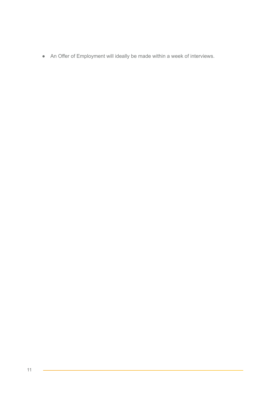● An Offer of Employment will ideally be made within a week of interviews.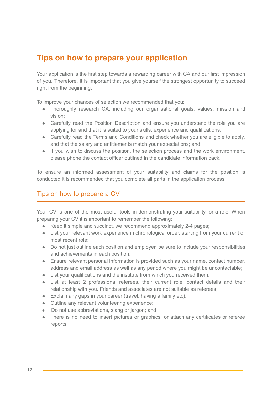# **Tips on how to prepare your application**

Your application is the first step towards a rewarding career with CA and our first impression of you. Therefore, it is important that you give yourself the strongest opportunity to succeed right from the beginning.

To improve your chances of selection we recommended that you:

- Thoroughly research CA, including our organisational goals, values, mission and vision;
- Carefully read the Position Description and ensure you understand the role you are applying for and that it is suited to your skills, experience and qualifications;
- Carefully read the Terms and Conditions and check whether you are eligible to apply, and that the salary and entitlements match your expectations; and
- If you wish to discuss the position, the selection process and the work environment, please phone the contact officer outlined in the candidate information pack.

To ensure an informed assessment of your suitability and claims for the position is conducted it is recommended that you complete all parts in the application process.

### Tips on how to prepare a CV

Your CV is one of the most useful tools in demonstrating your suitability for a role. When preparing your CV it is important to remember the following:

- Keep it simple and succinct, we recommend approximately 2-4 pages;
- List your relevant work experience in chronological order, starting from your current or most recent role;
- Do not just outline each position and employer, be sure to include your responsibilities and achievements in each position;
- Ensure relevant personal information is provided such as your name, contact number, address and email address as well as any period where you might be uncontactable;
- List your qualifications and the institute from which you received them;
- List at least 2 professional referees, their current role, contact details and their relationship with you. Friends and associates are not suitable as referees;
- Explain any gaps in your career (travel, having a family etc);
- Outline any relevant volunteering experience;
- Do not use abbreviations, slang or jargon; and
- There is no need to insert pictures or graphics, or attach any certificates or referee reports.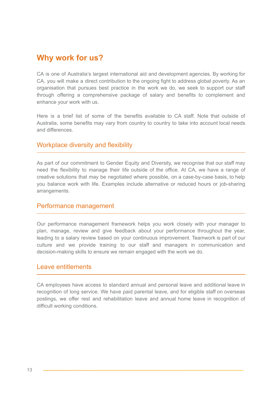# **Why work for us?**

CA is one of Australia's largest international aid and development agencies. By working for CA, you will make a direct contribution to the ongoing fight to address global poverty. As an organisation that pursues best practice in the work we do, we seek to support our staff through offering a comprehensive package of salary and benefits to complement and enhance your work with us.

Here is a brief list of some of the benefits available to CA staff. Note that outside of Australia, some benefits may vary from country to country to take into account local needs and differences.

#### Workplace diversity and flexibility

As part of our commitment to Gender Equity and Diversity, we recognise that our staff may need the flexibility to manage their life outside of the office. At CA, we have a range of creative solutions that may be negotiated where possible, on a case-by-case basis, to help you balance work with life. Examples include alternative or reduced hours or job-sharing arrangements.

#### Performance management

Our performance management framework helps you work closely with your manager to plan, manage, review and give feedback about your performance throughout the year, leading to a salary review based on your continuous improvement. Teamwork is part of our culture and we provide training to our staff and managers in communication and decision-making skills to ensure we remain engaged with the work we do.

#### Leave entitlements

CA employees have access to standard annual and personal leave and additional leave in recognition of long service. We have paid parental leave, and for eligible staff on overseas postings, we offer rest and rehabilitation leave and annual home leave in recognition of difficult working conditions.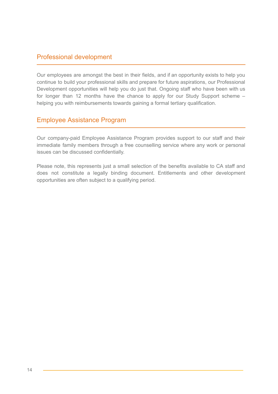#### Professional development

Our employees are amongst the best in their fields, and if an opportunity exists to help you continue to build your professional skills and prepare for future aspirations, our Professional Development opportunities will help you do just that. Ongoing staff who have been with us for longer than 12 months have the chance to apply for our Study Support scheme – helping you with reimbursements towards gaining a formal tertiary qualification.

## Employee Assistance Program

Our company-paid Employee Assistance Program provides support to our staff and their immediate family members through a free counselling service where any work or personal issues can be discussed confidentially.

Please note, this represents just a small selection of the benefits available to CA staff and does not constitute a legally binding document. Entitlements and other development opportunities are often subject to a qualifying period.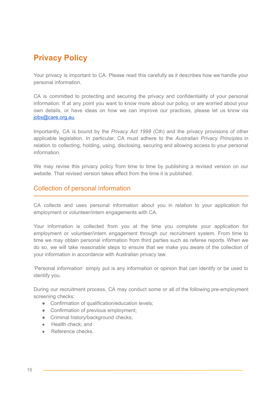# **Privacy Policy**

Your privacy is important to CA. Please read this carefully as it describes how we handle your personal information.

CA is committed to protecting and securing the privacy and confidentiality of your personal information. If at any point you want to know more about our policy, or are worried about your own details, or have ideas on how we can improve our practices, please let us know via [jobs@care.org.au.](mailto:jobs@care.org.au)

Importantly, CA is bound by the *Privacy Act 1998* (Cth) and the privacy provisions of other applicable legislation. In particular, CA must adhere to the *Australian Privacy Principles* in relation to collecting, holding, using, disclosing, securing and allowing access to your personal information.

We may revise this privacy policy from time to time by publishing a revised version on our website. That revised version takes effect from the time it is published.

#### Collection of personal information

CA collects and uses personal information about you in relation to your application for employment or volunteer/intern engagements with CA.

Your information is collected from you at the time you complete your application for employment or volunteer/intern engagement through our recruitment system. From time to time we may obtain personal information from third parties such as referee reports. When we do so, we will take reasonable steps to ensure that we make you aware of the collection of your information in accordance with Australian privacy law.

'Personal information' simply put is any information or opinion that can identify or be used to identify you.

During our recruitment process, CA may conduct some or all of the following pre-employment screening checks:

- Confirmation of qualification/education levels;
- Confirmation of previous employment;
- Criminal history/background checks;
- Health check; and
- Reference checks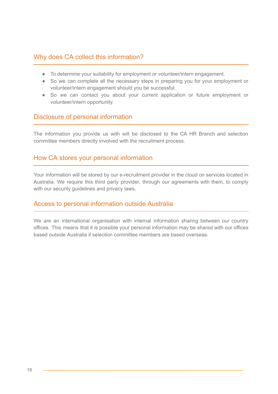#### Why does CA collect this information?

- To determine your suitability for employment or volunteer/intern engagement.
- So we can complete all the necessary steps in preparing you for your employment or volunteer/intern engagement should you be successful.
- So we can contact you about your current application or future employment or volunteer/intern opportunity.

#### Disclosure of personal information

The information you provide us with will be disclosed to the CA HR Branch and selection committee members directly involved with the recruitment process.

#### How CA stores your personal information

Your information will be stored by our e-recruitment provider in the cloud on services located in Australia. We require this third party provider, through our agreements with them, to comply with our security guidelines and privacy laws.

#### Access to personal information outside Australia

We are an international organisation with internal information sharing between our country offices. This means that it is possible your personal information may be shared with our offices based outside Australia if selection committee members are based overseas.